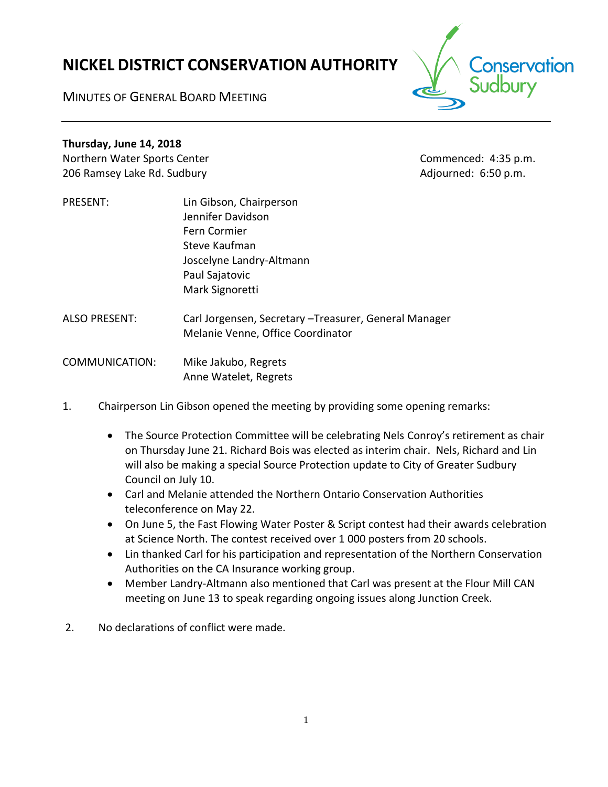# **NICKEL DISTRICT CONSERVATION AUTHORITY**

conservation

MINUTES OF GENERAL BOARD MEETING

# **Thursday, June 14, 2018**

Northern Water Sports Center Commenced: 4:35 p.m. 206 Ramsey Lake Rd. Sudbury **Adjourned: 6:50 p.m.** Adjourned: 6:50 p.m.

PRESENT: Lin Gibson, Chairperson Jennifer Davidson Fern Cormier Steve Kaufman Joscelyne Landry-Altmann Paul Sajatovic Mark Signoretti

ALSO PRESENT: Carl Jorgensen, Secretary –Treasurer, General Manager Melanie Venne, Office Coordinator

COMMUNICATION: Mike Jakubo, Regrets Anne Watelet, Regrets

- 1. Chairperson Lin Gibson opened the meeting by providing some opening remarks:
	- The Source Protection Committee will be celebrating Nels Conroy's retirement as chair on Thursday June 21. Richard Bois was elected as interim chair. Nels, Richard and Lin will also be making a special Source Protection update to City of Greater Sudbury Council on July 10.
	- Carl and Melanie attended the Northern Ontario Conservation Authorities teleconference on May 22.
	- On June 5, the Fast Flowing Water Poster & Script contest had their awards celebration at Science North. The contest received over 1 000 posters from 20 schools.
	- Lin thanked Carl for his participation and representation of the Northern Conservation Authorities on the CA Insurance working group.
	- Member Landry-Altmann also mentioned that Carl was present at the Flour Mill CAN meeting on June 13 to speak regarding ongoing issues along Junction Creek.
- 2. No declarations of conflict were made.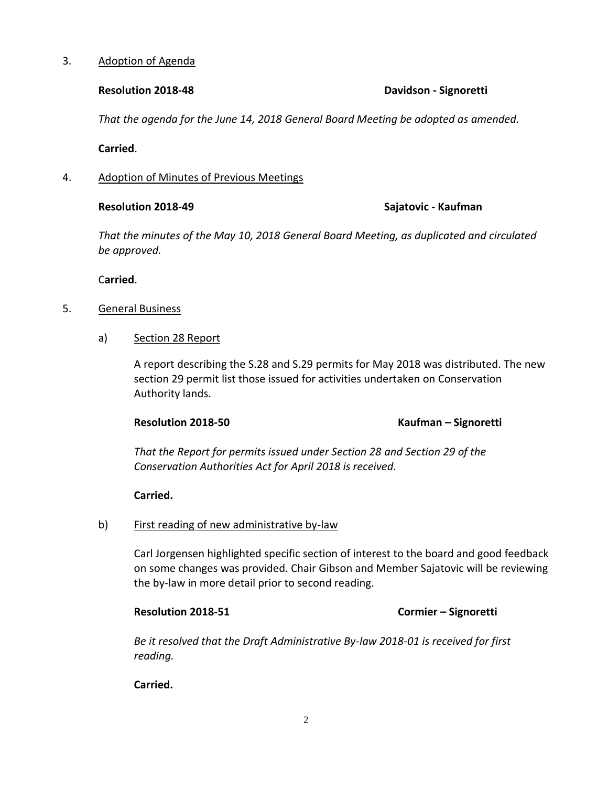### 3. Adoption of Agenda

# **Resolution 2018-48 Davidson - Signoretti**

*That the agenda for the June 14, 2018 General Board Meeting be adopted as amended.*

**Carried**.

4. Adoption of Minutes of Previous Meetings

# **Resolution 2018-49 Sajatovic - Kaufman**

*That the minutes of the May 10, 2018 General Board Meeting, as duplicated and circulated be approved.*

C**arried**.

- 5. General Business
	- a) Section 28 Report

A report describing the S.28 and S.29 permits for May 2018 was distributed. The new section 29 permit list those issued for activities undertaken on Conservation Authority lands.

# **Resolution 2018-50 Kaufman – Signoretti**

*That the Report for permits issued under Section 28 and Section 29 of the Conservation Authorities Act for April 2018 is received.*

# **Carried.**

# b) First reading of new administrative by-law

Carl Jorgensen highlighted specific section of interest to the board and good feedback on some changes was provided. Chair Gibson and Member Sajatovic will be reviewing the by-law in more detail prior to second reading.

# **Resolution 2018-51 Cormier – Signoretti**

*Be it resolved that the Draft Administrative By-law 2018-01 is received for first reading.*

# **Carried.**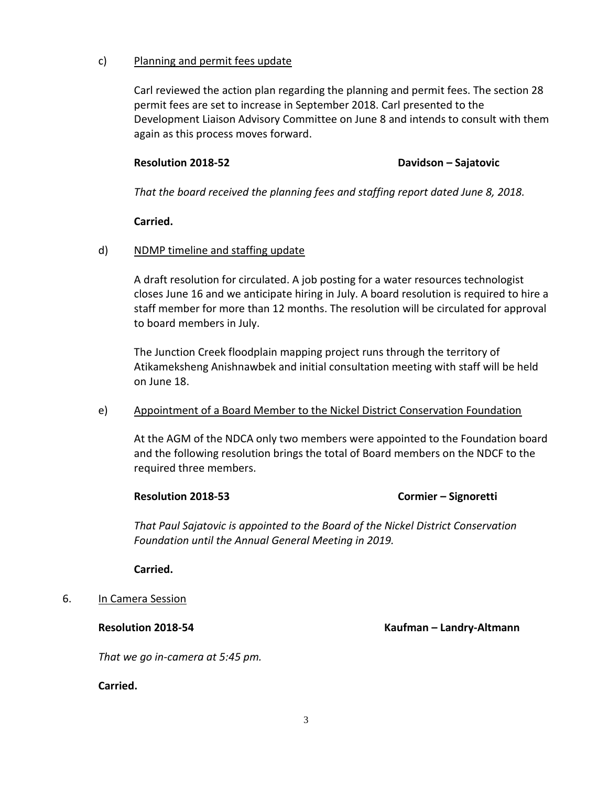# c) Planning and permit fees update

Carl reviewed the action plan regarding the planning and permit fees. The section 28 permit fees are set to increase in September 2018. Carl presented to the Development Liaison Advisory Committee on June 8 and intends to consult with them again as this process moves forward.

# **Resolution 2018-52 Davidson – Sajatovic**

*That the board received the planning fees and staffing report dated June 8, 2018.*

# **Carried.**

# d) NDMP timeline and staffing update

A draft resolution for circulated. A job posting for a water resources technologist closes June 16 and we anticipate hiring in July. A board resolution is required to hire a staff member for more than 12 months. The resolution will be circulated for approval to board members in July.

The Junction Creek floodplain mapping project runs through the territory of Atikameksheng Anishnawbek and initial consultation meeting with staff will be held on June 18.

# e) Appointment of a Board Member to the Nickel District Conservation Foundation

At the AGM of the NDCA only two members were appointed to the Foundation board and the following resolution brings the total of Board members on the NDCF to the required three members.

# **Resolution 2018-53 Cormier – Signoretti**

*That Paul Sajatovic is appointed to the Board of the Nickel District Conservation Foundation until the Annual General Meeting in 2019.* 

**Carried.**

# 6. In Camera Session

**Resolution 2018-54 Kaufman – Landry-Altmann**

*That we go in-camera at 5:45 pm.*

**Carried.**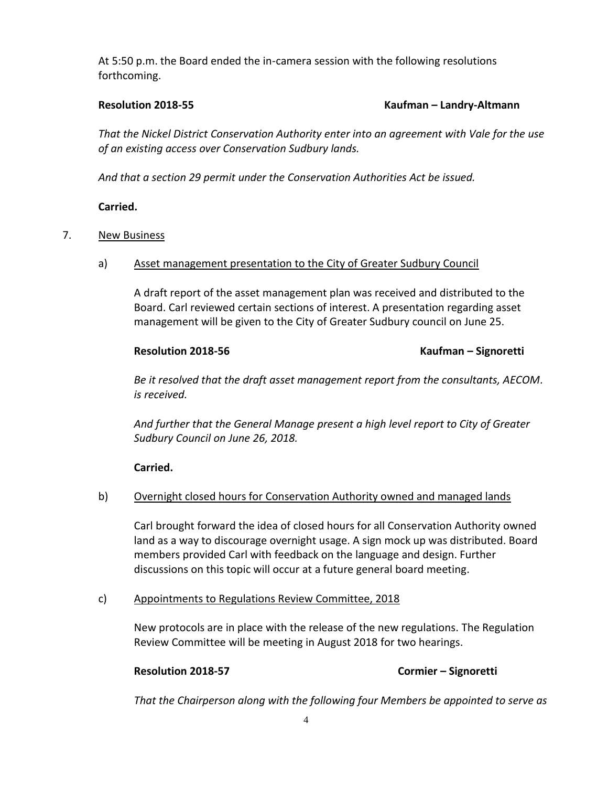At 5:50 p.m. the Board ended the in-camera session with the following resolutions forthcoming.

### **Resolution 2018-55 Kaufman – Landry-Altmann**

*That the Nickel District Conservation Authority enter into an agreement with Vale for the use of an existing access over Conservation Sudbury lands.*

*And that a section 29 permit under the Conservation Authorities Act be issued.*

# **Carried.**

# 7. New Business

a) Asset management presentation to the City of Greater Sudbury Council

A draft report of the asset management plan was received and distributed to the Board. Carl reviewed certain sections of interest. A presentation regarding asset management will be given to the City of Greater Sudbury council on June 25.

# **Resolution 2018-56 Kaufman – Signoretti**

*Be it resolved that the draft asset management report from the consultants, AECOM. is received.*

*And further that the General Manage present a high level report to City of Greater Sudbury Council on June 26, 2018.*

**Carried.**

# b) Overnight closed hours for Conservation Authority owned and managed lands

Carl brought forward the idea of closed hours for all Conservation Authority owned land as a way to discourage overnight usage. A sign mock up was distributed. Board members provided Carl with feedback on the language and design. Further discussions on this topic will occur at a future general board meeting.

# c) Appointments to Regulations Review Committee, 2018

New protocols are in place with the release of the new regulations. The Regulation Review Committee will be meeting in August 2018 for two hearings.

# **Resolution 2018-57 Cormier – Signoretti**

*That the Chairperson along with the following four Members be appointed to serve as*